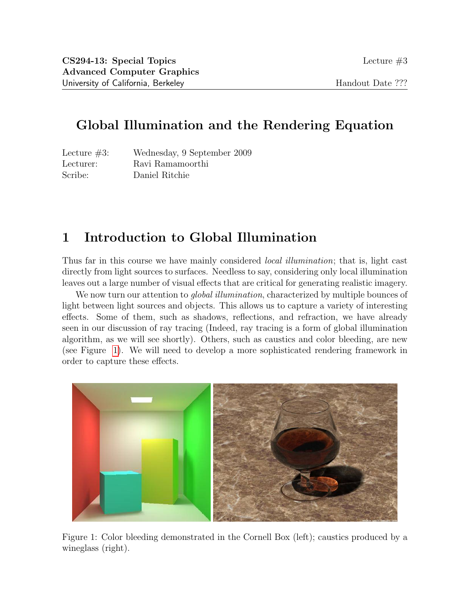# Global Illumination and the Rendering Equation

Lecture #3: Wednesday, 9 September 2009 Lecturer: Ravi Ramamoorthi Scribe: Daniel Ritchie

# 1 Introduction to Global Illumination

Thus far in this course we have mainly considered *local illumination*; that is, light cast directly from light sources to surfaces. Needless to say, considering only local illumination leaves out a large number of visual effects that are critical for generating realistic imagery.

We now turn our attention to *global illumination*, characterized by multiple bounces of light between light sources and objects. This allows us to capture a variety of interesting effects. Some of them, such as shadows, reflections, and refraction, we have already seen in our discussion of ray tracing (Indeed, ray tracing is a form of global illumination algorithm, as we will see shortly). Others, such as caustics and color bleeding, are new (see Figure [1\)](#page-0-0). We will need to develop a more sophisticated rendering framework in order to capture these effects.

<span id="page-0-0"></span>

Figure 1: Color bleeding demonstrated in the Cornell Box (left); caustics produced by a wineglass (right).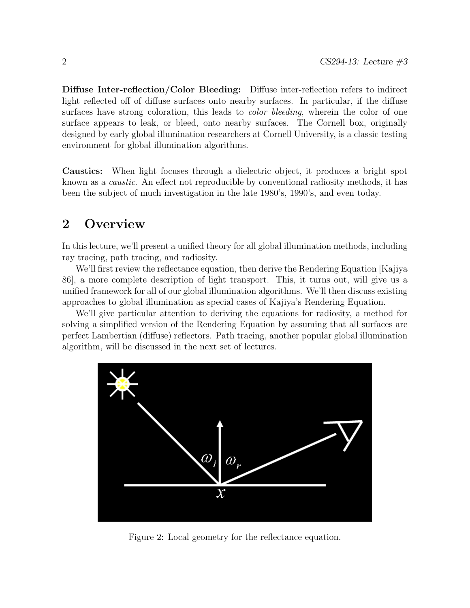Diffuse Inter-reflection/Color Bleeding: Diffuse inter-reflection refers to indirect light reflected off of diffuse surfaces onto nearby surfaces. In particular, if the diffuse surfaces have strong coloration, this leads to *color bleeding*, wherein the color of one surface appears to leak, or bleed, onto nearby surfaces. The Cornell box, originally designed by early global illumination researchers at Cornell University, is a classic testing environment for global illumination algorithms.

Caustics: When light focuses through a dielectric object, it produces a bright spot known as a caustic. An effect not reproducible by conventional radiosity methods, it has been the subject of much investigation in the late 1980's, 1990's, and even today.

## 2 Overview

In this lecture, we'll present a unified theory for all global illumination methods, including ray tracing, path tracing, and radiosity.

We'll first review the reflectance equation, then derive the Rendering Equation [Kajiya 86], a more complete description of light transport. This, it turns out, will give us a unified framework for all of our global illumination algorithms. We'll then discuss existing approaches to global illumination as special cases of Kajiya's Rendering Equation.

We'll give particular attention to deriving the equations for radiosity, a method for solving a simplified version of the Rendering Equation by assuming that all surfaces are perfect Lambertian (diffuse) reflectors. Path tracing, another popular global illumination algorithm, will be discussed in the next set of lectures.



<span id="page-1-0"></span>Figure 2: Local geometry for the reflectance equation.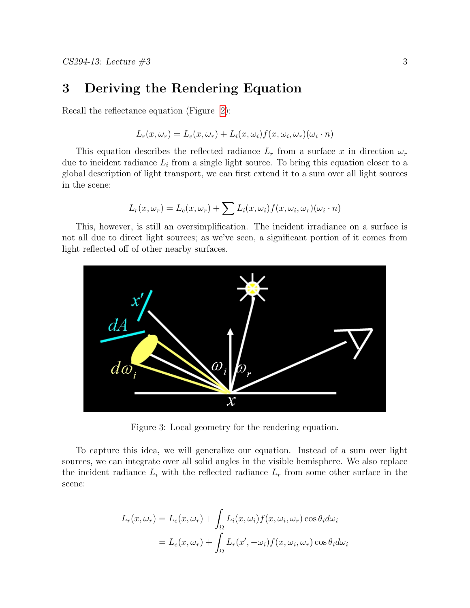## 3 Deriving the Rendering Equation

Recall the reflectance equation (Figure [2\)](#page-1-0):

$$
L_r(x, \omega_r) = L_e(x, \omega_r) + L_i(x, \omega_i) f(x, \omega_i, \omega_r) (\omega_i \cdot n)
$$

This equation describes the reflected radiance  $L_r$  from a surface x in direction  $\omega_r$ due to incident radiance  $L_i$  from a single light source. To bring this equation closer to a global description of light transport, we can first extend it to a sum over all light sources in the scene:

$$
L_r(x, \omega_r) = L_e(x, \omega_r) + \sum L_i(x, \omega_i) f(x, \omega_i, \omega_r) (\omega_i \cdot n)
$$

This, however, is still an oversimplification. The incident irradiance on a surface is not all due to direct light sources; as we've seen, a significant portion of it comes from light reflected off of other nearby surfaces.



<span id="page-2-0"></span>Figure 3: Local geometry for the rendering equation.

To capture this idea, we will generalize our equation. Instead of a sum over light sources, we can integrate over all solid angles in the visible hemisphere. We also replace the incident radiance  $L_i$  with the reflected radiance  $L_r$  from some other surface in the scene:

$$
L_r(x, \omega_r) = L_e(x, \omega_r) + \int_{\Omega} L_i(x, \omega_i) f(x, \omega_i, \omega_r) \cos \theta_i d\omega_i
$$
  
=  $L_e(x, \omega_r) + \int_{\Omega} L_r(x', -\omega_i) f(x, \omega_i, \omega_r) \cos \theta_i d\omega_i$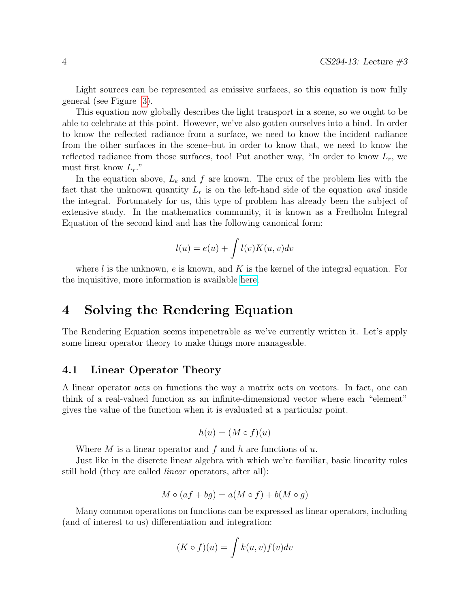Light sources can be represented as emissive surfaces, so this equation is now fully general (see Figure [3\)](#page-2-0).

This equation now globally describes the light transport in a scene, so we ought to be able to celebrate at this point. However, we've also gotten ourselves into a bind. In order to know the reflected radiance from a surface, we need to know the incident radiance from the other surfaces in the scene–but in order to know that, we need to know the reflected radiance from those surfaces, too! Put another way, "In order to know  $L_r$ , we must first know  $L_r$ ."

In the equation above,  $L_e$  and  $f$  are known. The crux of the problem lies with the fact that the unknown quantity  $L_r$  is on the left-hand side of the equation and inside the integral. Fortunately for us, this type of problem has already been the subject of extensive study. In the mathematics community, it is known as a Fredholm Integral Equation of the second kind and has the following canonical form:

$$
l(u) = e(u) + \int l(v)K(u, v)dv
$$

where l is the unknown, e is known, and K is the kernel of the integral equation. For the inquisitive, more information is available [here.](http://en.wikipedia.org/wiki/Fredholm_integral_equation)

## 4 Solving the Rendering Equation

The Rendering Equation seems impenetrable as we've currently written it. Let's apply some linear operator theory to make things more manageable.

#### 4.1 Linear Operator Theory

A linear operator acts on functions the way a matrix acts on vectors. In fact, one can think of a real-valued function as an infinite-dimensional vector where each "element" gives the value of the function when it is evaluated at a particular point.

$$
h(u) = (M \circ f)(u)
$$

Where M is a linear operator and f and h are functions of  $u$ .

Just like in the discrete linear algebra with which we're familiar, basic linearity rules still hold (they are called linear operators, after all):

$$
M \circ (af + bg) = a(M \circ f) + b(M \circ g)
$$

Many common operations on functions can be expressed as linear operators, including (and of interest to us) differentiation and integration:

$$
(K \circ f)(u) = \int k(u, v) f(v) dv
$$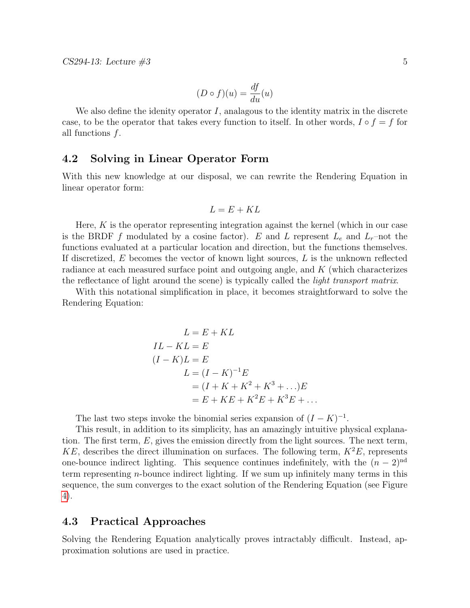$$
(D \circ f)(u) = \frac{df}{du}(u)
$$

We also define the idenity operator  $I$ , analagous to the identity matrix in the discrete case, to be the operator that takes every function to itself. In other words,  $I \circ f = f$  for all functions f.

#### 4.2 Solving in Linear Operator Form

With this new knowledge at our disposal, we can rewrite the Rendering Equation in linear operator form:

$$
L = E + KL
$$

Here,  $K$  is the operator representing integration against the kernel (which in our case is the BRDF f modulated by a cosine factor). E and L represent  $L_e$  and  $L_r$ –not the functions evaluated at a particular location and direction, but the functions themselves. If discretized,  $E$  becomes the vector of known light sources,  $L$  is the unknown reflected radiance at each measured surface point and outgoing angle, and K (which characterizes the reflectance of light around the scene) is typically called the *light transport matrix*.

With this notational simplification in place, it becomes straightforward to solve the Rendering Equation:

$$
L = E + KL
$$
  
\n
$$
IL - KL = E
$$
  
\n
$$
(I - K)L = E
$$
  
\n
$$
L = (I - K)^{-1}E
$$
  
\n
$$
= (I + K + K^2 + K^3 + \ldots)E
$$
  
\n
$$
= E + KE + K^2E + K^3E + \ldots
$$

The last two steps invoke the binomial series expansion of  $(I - K)^{-1}$ .

This result, in addition to its simplicity, has an amazingly intuitive physical explanation. The first term,  $E$ , gives the emission directly from the light sources. The next term, KE, describes the direct illumination on surfaces. The following term,  $K^2E$ , represents one-bounce indirect lighting. This sequence continues indefinitely, with the  $(n-2)^{nd}$ term representing  $n$ -bounce indirect lighting. If we sum up infinitely many terms in this sequence, the sum converges to the exact solution of the Rendering Equation (see Figure [4\)](#page-5-0).

#### 4.3 Practical Approaches

Solving the Rendering Equation analytically proves intractably difficult. Instead, approximation solutions are used in practice.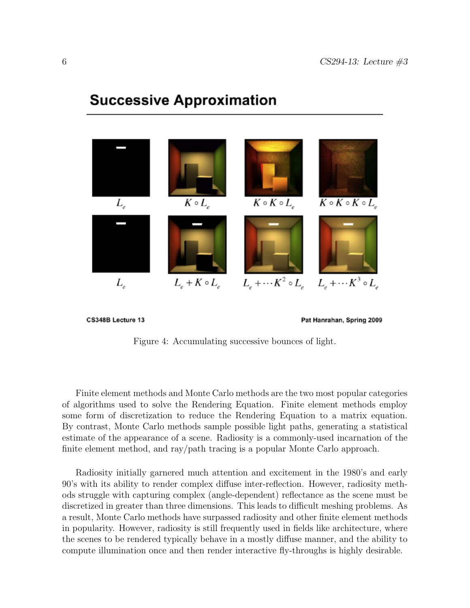# $K \circ K \circ L_e$  $K \circ L_{e}$  $K \circ K \circ K \circ L$  $L_{\rm e}$  $L_{\rm c} + \cdots K^2 \circ L_{\rm c}$  $L_e + \cdots K^3 \circ L_e$  $L_{\rm c} + K \circ L_{\rm c}$  $L_{\scriptscriptstyle e}$

# **Successive Approximation**

CS348B Lecture 13

Pat Hanrahan, Spring 2009

<span id="page-5-0"></span>Figure 4: Accumulating successive bounces of light.

Finite element methods and Monte Carlo methods are the two most popular categories of algorithms used to solve the Rendering Equation. Finite element methods employ some form of discretization to reduce the Rendering Equation to a matrix equation. By contrast, Monte Carlo methods sample possible light paths, generating a statistical estimate of the appearance of a scene. Radiosity is a commonly-used incarnation of the finite element method, and ray/path tracing is a popular Monte Carlo approach.

Radiosity initially garnered much attention and excitement in the 1980's and early 90's with its ability to render complex diffuse inter-reflection. However, radiosity methods struggle with capturing complex (angle-dependent) reflectance as the scene must be discretized in greater than three dimensions. This leads to difficult meshing problems. As a result, Monte Carlo methods have surpassed radiosity and other finite element methods in popularity. However, radiosity is still frequently used in fields like architecture, where the scenes to be rendered typically behave in a mostly diffuse manner, and the ability to compute illumination once and then render interactive fly-throughs is highly desirable.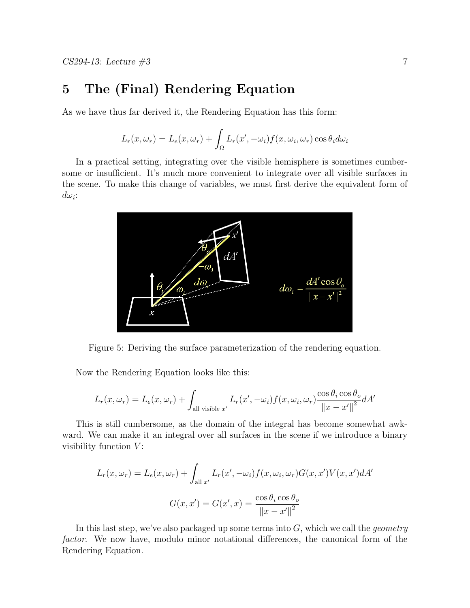# 5 The (Final) Rendering Equation

As we have thus far derived it, the Rendering Equation has this form:

$$
L_r(x, \omega_r) = L_e(x, \omega_r) + \int_{\Omega} L_r(x', -\omega_i) f(x, \omega_i, \omega_r) \cos \theta_i d\omega_i
$$

In a practical setting, integrating over the visible hemisphere is sometimes cumbersome or insufficient. It's much more convenient to integrate over all visible surfaces in the scene. To make this change of variables, we must first derive the equivalent form of  $d\omega_i$ :



Figure 5: Deriving the surface parameterization of the rendering equation.

Now the Rendering Equation looks like this:

$$
L_r(x, \omega_r) = L_e(x, \omega_r) + \int_{\text{all visible } x'} L_r(x', -\omega_i) f(x, \omega_i, \omega_r) \frac{\cos \theta_i \cos \theta_o}{\left\| x - x' \right\|^2} dA'
$$

This is still cumbersome, as the domain of the integral has become somewhat awkward. We can make it an integral over all surfaces in the scene if we introduce a binary visibility function  $V$ :

$$
L_r(x, \omega_r) = L_e(x, \omega_r) + \int_{\text{all } x'} L_r(x', -\omega_i) f(x, \omega_i, \omega_r) G(x, x') V(x, x') dA'
$$

$$
G(x, x') = G(x', x) = \frac{\cos \theta_i \cos \theta_o}{\|x - x'\|^2}
$$

In this last step, we've also packaged up some terms into  $G$ , which we call the *geometry* factor. We now have, modulo minor notational differences, the canonical form of the Rendering Equation.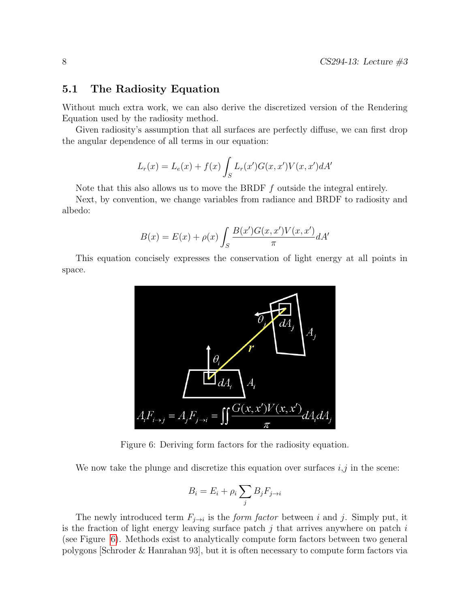#### 5.1 The Radiosity Equation

Without much extra work, we can also derive the discretized version of the Rendering Equation used by the radiosity method.

Given radiosity's assumption that all surfaces are perfectly diffuse, we can first drop the angular dependence of all terms in our equation:

$$
L_r(x) = L_e(x) + f(x) \int_S L_r(x') G(x, x') V(x, x') dA'
$$

Note that this also allows us to move the BRDF  $f$  outside the integral entirely.

Next, by convention, we change variables from radiance and BRDF to radiosity and albedo:

$$
B(x) = E(x) + \rho(x) \int_{S} \frac{B(x')G(x, x')V(x, x')}{\pi} dA'
$$

This equation concisely expresses the conservation of light energy at all points in space.



<span id="page-7-0"></span>Figure 6: Deriving form factors for the radiosity equation.

We now take the plunge and discretize this equation over surfaces  $i, j$  in the scene:

$$
B_i = E_i + \rho_i \sum_j B_j F_{j \to i}
$$

The newly introduced term  $F_{j\rightarrow i}$  is the *form factor* between i and j. Simply put, it is the fraction of light energy leaving surface patch  $j$  that arrives anywhere on patch  $i$ (see Figure [6\)](#page-7-0). Methods exist to analytically compute form factors between two general polygons [Schroder & Hanrahan 93], but it is often necessary to compute form factors via